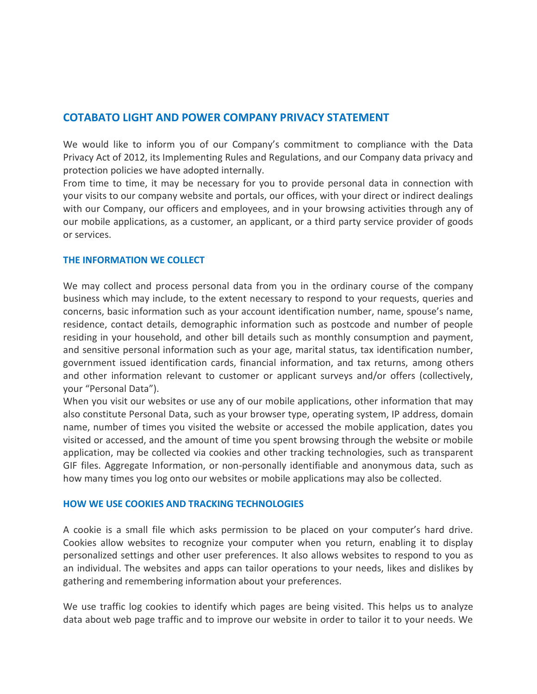# **COTABATO LIGHT AND POWER COMPANY PRIVACY STATEMENT**

We would like to inform you of our Company's commitment to compliance with the Data Privacy Act of 2012, its Implementing Rules and Regulations, and our Company data privacy and protection policies we have adopted internally.

From time to time, it may be necessary for you to provide personal data in connection with your visits to our company website and portals, our offices, with your direct or indirect dealings with our Company, our officers and employees, and in your browsing activities through any of our mobile applications, as a customer, an applicant, or a third party service provider of goods or services.

#### **THE INFORMATION WE COLLECT**

We may collect and process personal data from you in the ordinary course of the company business which may include, to the extent necessary to respond to your requests, queries and concerns, basic information such as your account identification number, name, spouse's name, residence, contact details, demographic information such as postcode and number of people residing in your household, and other bill details such as monthly consumption and payment, and sensitive personal information such as your age, marital status, tax identification number, government issued identification cards, financial information, and tax returns, among others and other information relevant to customer or applicant surveys and/or offers (collectively, your "Personal Data").

When you visit our websites or use any of our mobile applications, other information that may also constitute Personal Data, such as your browser type, operating system, IP address, domain name, number of times you visited the website or accessed the mobile application, dates you visited or accessed, and the amount of time you spent browsing through the website or mobile application, may be collected via cookies and other tracking technologies, such as transparent GIF files. Aggregate Information, or non-personally identifiable and anonymous data, such as how many times you log onto our websites or mobile applications may also be collected.

## **HOW WE USE COOKIES AND TRACKING TECHNOLOGIES**

A cookie is a small file which asks permission to be placed on your computer's hard drive. Cookies allow websites to recognize your computer when you return, enabling it to display personalized settings and other user preferences. It also allows websites to respond to you as an individual. The websites and apps can tailor operations to your needs, likes and dislikes by gathering and remembering information about your preferences.

We use traffic log cookies to identify which pages are being visited. This helps us to analyze data about web page traffic and to improve our website in order to tailor it to your needs. We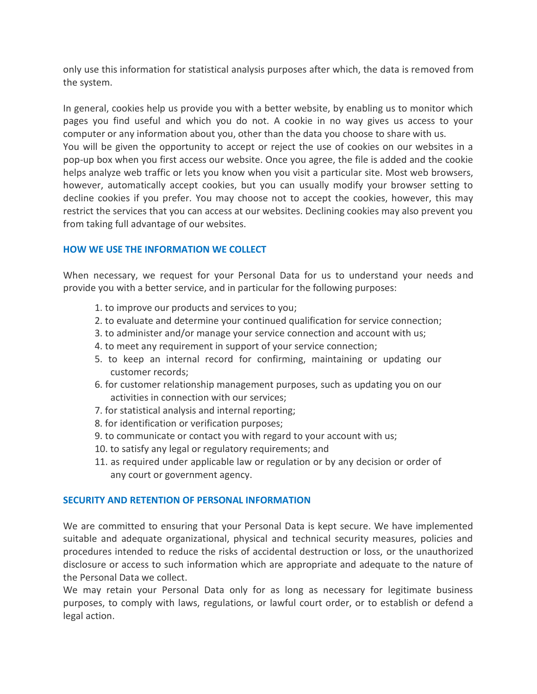only use this information for statistical analysis purposes after which, the data is removed from the system.

In general, cookies help us provide you with a better website, by enabling us to monitor which pages you find useful and which you do not. A cookie in no way gives us access to your computer or any information about you, other than the data you choose to share with us. You will be given the opportunity to accept or reject the use of cookies on our websites in a pop-up box when you first access our website. Once you agree, the file is added and the cookie helps analyze web traffic or lets you know when you visit a particular site. Most web browsers, however, automatically accept cookies, but you can usually modify your browser setting to decline cookies if you prefer. You may choose not to accept the cookies, however, this may restrict the services that you can access at our websites. Declining cookies may also prevent you from taking full advantage of our websites.

# **HOW WE USE THE INFORMATION WE COLLECT**

When necessary, we request for your Personal Data for us to understand your needs and provide you with a better service, and in particular for the following purposes:

- 1. to improve our products and services to you;
- 2. to evaluate and determine your continued qualification for service connection;
- 3. to administer and/or manage your service connection and account with us;
- 4. to meet any requirement in support of your service connection;
- 5. to keep an internal record for confirming, maintaining or updating our customer records;
- 6. for customer relationship management purposes, such as updating you on our activities in connection with our services;
- 7. for statistical analysis and internal reporting;
- 8. for identification or verification purposes;
- 9. to communicate or contact you with regard to your account with us;
- 10. to satisfy any legal or regulatory requirements; and
- 11. as required under applicable law or regulation or by any decision or order of any court or government agency.

## **SECURITY AND RETENTION OF PERSONAL INFORMATION**

We are committed to ensuring that your Personal Data is kept secure. We have implemented suitable and adequate organizational, physical and technical security measures, policies and procedures intended to reduce the risks of accidental destruction or loss, or the unauthorized disclosure or access to such information which are appropriate and adequate to the nature of the Personal Data we collect.

We may retain your Personal Data only for as long as necessary for legitimate business purposes, to comply with laws, regulations, or lawful court order, or to establish or defend a legal action.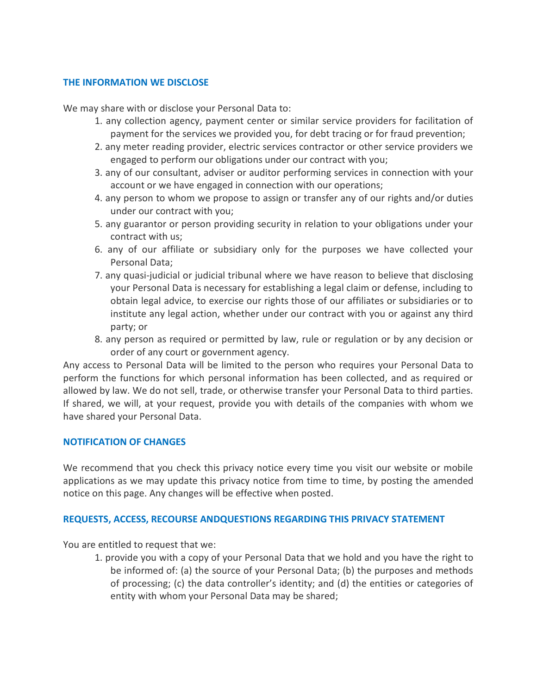### **THE INFORMATION WE DISCLOSE**

We may share with or disclose your Personal Data to:

- 1. any collection agency, payment center or similar service providers for facilitation of payment for the services we provided you, for debt tracing or for fraud prevention;
- 2. any meter reading provider, electric services contractor or other service providers we engaged to perform our obligations under our contract with you;
- 3. any of our consultant, adviser or auditor performing services in connection with your account or we have engaged in connection with our operations;
- 4. any person to whom we propose to assign or transfer any of our rights and/or duties under our contract with you;
- 5. any guarantor or person providing security in relation to your obligations under your contract with us;
- 6. any of our affiliate or subsidiary only for the purposes we have collected your Personal Data;
- 7. any quasi-judicial or judicial tribunal where we have reason to believe that disclosing your Personal Data is necessary for establishing a legal claim or defense, including to obtain legal advice, to exercise our rights those of our affiliates or subsidiaries or to institute any legal action, whether under our contract with you or against any third party; or
- 8. any person as required or permitted by law, rule or regulation or by any decision or order of any court or government agency.

Any access to Personal Data will be limited to the person who requires your Personal Data to perform the functions for which personal information has been collected, and as required or allowed by law. We do not sell, trade, or otherwise transfer your Personal Data to third parties. If shared, we will, at your request, provide you with details of the companies with whom we have shared your Personal Data.

#### **NOTIFICATION OF CHANGES**

We recommend that you check this privacy notice every time you visit our website or mobile applications as we may update this privacy notice from time to time, by posting the amended notice on this page. Any changes will be effective when posted.

#### **REQUESTS, ACCESS, RECOURSE ANDQUESTIONS REGARDING THIS PRIVACY STATEMENT**

You are entitled to request that we:

1. provide you with a copy of your Personal Data that we hold and you have the right to be informed of: (a) the source of your Personal Data; (b) the purposes and methods of processing; (c) the data controller's identity; and (d) the entities or categories of entity with whom your Personal Data may be shared;